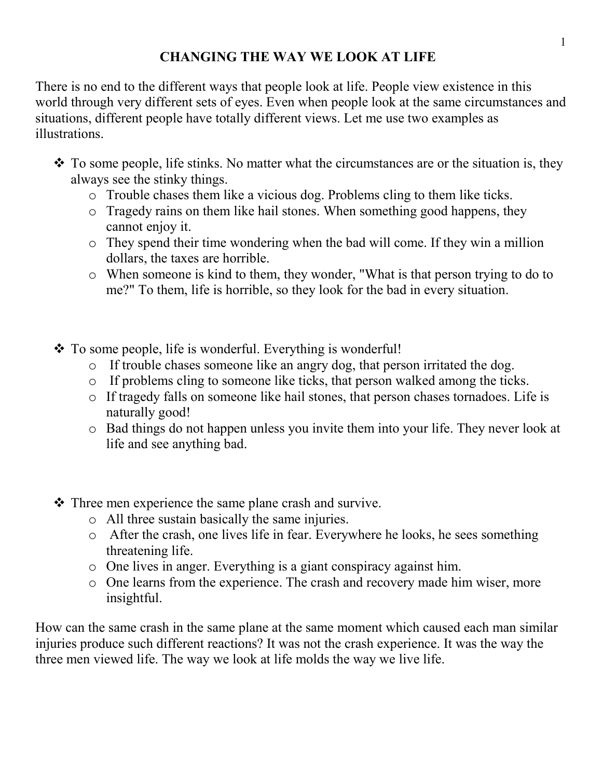## **CHANGING THE WAY WE LOOK AT LIFE**

There is no end to the different ways that people look at life. People view existence in this world through very different sets of eyes. Even when people look at the same circumstances and situations, different people have totally different views. Let me use two examples as illustrations.

- \* To some people, life stinks. No matter what the circumstances are or the situation is, they always see the stinky things.
	- o Trouble chases them like a vicious dog. Problems cling to them like ticks.
	- o Tragedy rains on them like hail stones. When something good happens, they cannot enjoy it.
	- o They spend their time wondering when the bad will come. If they win a million dollars, the taxes are horrible.
	- o When someone is kind to them, they wonder, "What is that person trying to do to me?" To them, life is horrible, so they look for the bad in every situation.
- To some people, life is wonderful. Everything is wonderful!
	- o If trouble chases someone like an angry dog, that person irritated the dog.
	- o If problems cling to someone like ticks, that person walked among the ticks.
	- o If tragedy falls on someone like hail stones, that person chases tornadoes. Life is naturally good!
	- o Bad things do not happen unless you invite them into your life. They never look at life and see anything bad.
- \* Three men experience the same plane crash and survive.
	- o All three sustain basically the same injuries.
	- o After the crash, one lives life in fear. Everywhere he looks, he sees something threatening life.
	- o One lives in anger. Everything is a giant conspiracy against him.
	- o One learns from the experience. The crash and recovery made him wiser, more insightful.

How can the same crash in the same plane at the same moment which caused each man similar injuries produce such different reactions? It was not the crash experience. It was the way the three men viewed life. The way we look at life molds the way we live life.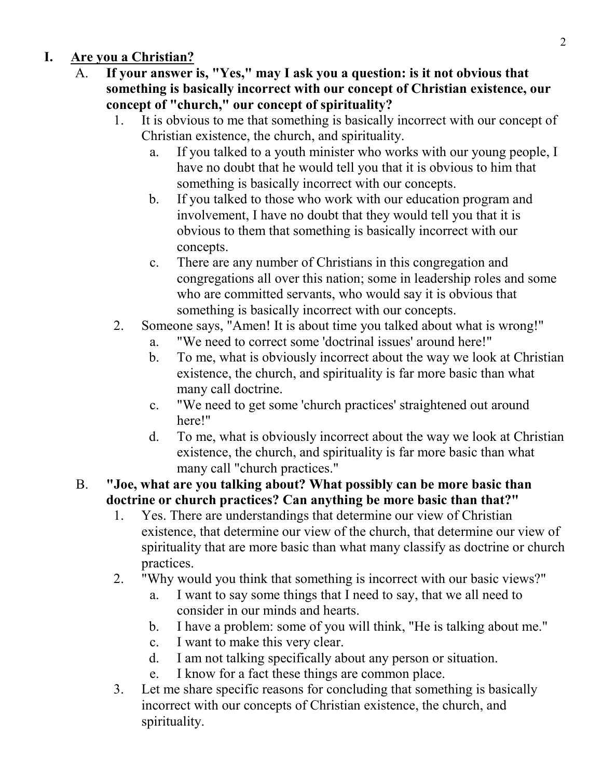## **I. Are you a Christian?**

- A. **If your answer is, "Yes," may I ask you a question: is it not obvious that something is basically incorrect with our concept of Christian existence, our concept of "church," our concept of spirituality?**
	- 1. It is obvious to me that something is basically incorrect with our concept of Christian existence, the church, and spirituality.
		- a. If you talked to a youth minister who works with our young people, I have no doubt that he would tell you that it is obvious to him that something is basically incorrect with our concepts.
		- b. If you talked to those who work with our education program and involvement, I have no doubt that they would tell you that it is obvious to them that something is basically incorrect with our concepts.
		- c. There are any number of Christians in this congregation and congregations all over this nation; some in leadership roles and some who are committed servants, who would say it is obvious that something is basically incorrect with our concepts.
	- 2. Someone says, "Amen! It is about time you talked about what is wrong!"
		- a. "We need to correct some 'doctrinal issues' around here!"
		- b. To me, what is obviously incorrect about the way we look at Christian existence, the church, and spirituality is far more basic than what many call doctrine.
		- c. "We need to get some 'church practices' straightened out around here!"
		- d. To me, what is obviously incorrect about the way we look at Christian existence, the church, and spirituality is far more basic than what many call "church practices."
- B. **"Joe, what are you talking about? What possibly can be more basic than doctrine or church practices? Can anything be more basic than that?"**
	- 1. Yes. There are understandings that determine our view of Christian existence, that determine our view of the church, that determine our view of spirituality that are more basic than what many classify as doctrine or church practices.
	- 2. "Why would you think that something is incorrect with our basic views?"
		- a. I want to say some things that I need to say, that we all need to consider in our minds and hearts.
		- b. I have a problem: some of you will think, "He is talking about me."
		- c. I want to make this very clear.
		- d. I am not talking specifically about any person or situation.
		- e. I know for a fact these things are common place.
	- 3. Let me share specific reasons for concluding that something is basically incorrect with our concepts of Christian existence, the church, and spirituality.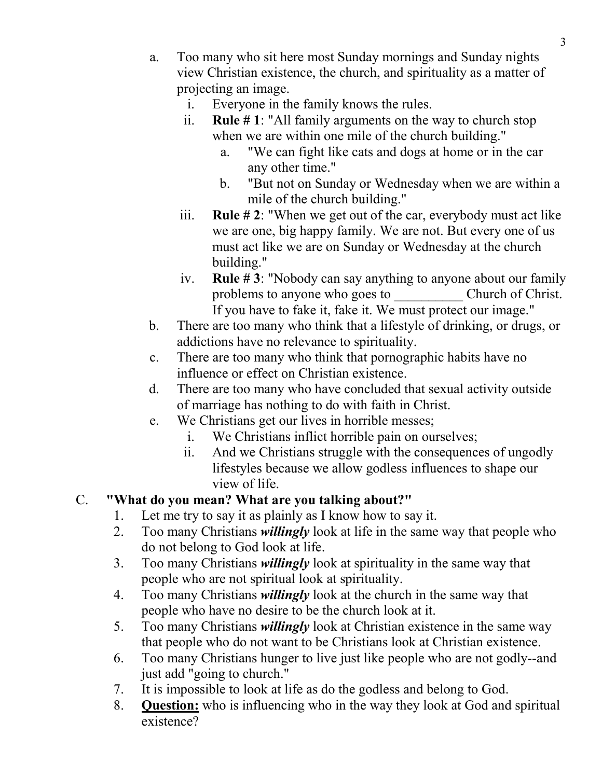- a. Too many who sit here most Sunday mornings and Sunday nights view Christian existence, the church, and spirituality as a matter of projecting an image.
	- i. Everyone in the family knows the rules.
	- ii. **Rule # 1**: "All family arguments on the way to church stop when we are within one mile of the church building."
		- a. "We can fight like cats and dogs at home or in the car any other time."
		- b. "But not on Sunday or Wednesday when we are within a mile of the church building."
	- iii. **Rule # 2**: "When we get out of the car, everybody must act like we are one, big happy family. We are not. But every one of us must act like we are on Sunday or Wednesday at the church building."
	- iv. **Rule # 3**: "Nobody can say anything to anyone about our family problems to anyone who goes to Church of Christ. If you have to fake it, fake it. We must protect our image."
- b. There are too many who think that a lifestyle of drinking, or drugs, or addictions have no relevance to spirituality.
- c. There are too many who think that pornographic habits have no influence or effect on Christian existence.
- d. There are too many who have concluded that sexual activity outside of marriage has nothing to do with faith in Christ.
- e. We Christians get our lives in horrible messes;
	- i. We Christians inflict horrible pain on ourselves;
	- ii. And we Christians struggle with the consequences of ungodly lifestyles because we allow godless influences to shape our view of life.

## C. **"What do you mean? What are you talking about?"**

- 1. Let me try to say it as plainly as I know how to say it.
- 2. Too many Christians *willingly* look at life in the same way that people who do not belong to God look at life.
- 3. Too many Christians *willingly* look at spirituality in the same way that people who are not spiritual look at spirituality.
- 4. Too many Christians *willingly* look at the church in the same way that people who have no desire to be the church look at it.
- 5. Too many Christians *willingly* look at Christian existence in the same way that people who do not want to be Christians look at Christian existence.
- 6. Too many Christians hunger to live just like people who are not godly--and just add "going to church."
- 7. It is impossible to look at life as do the godless and belong to God.
- 8. **Question:** who is influencing who in the way they look at God and spiritual existence?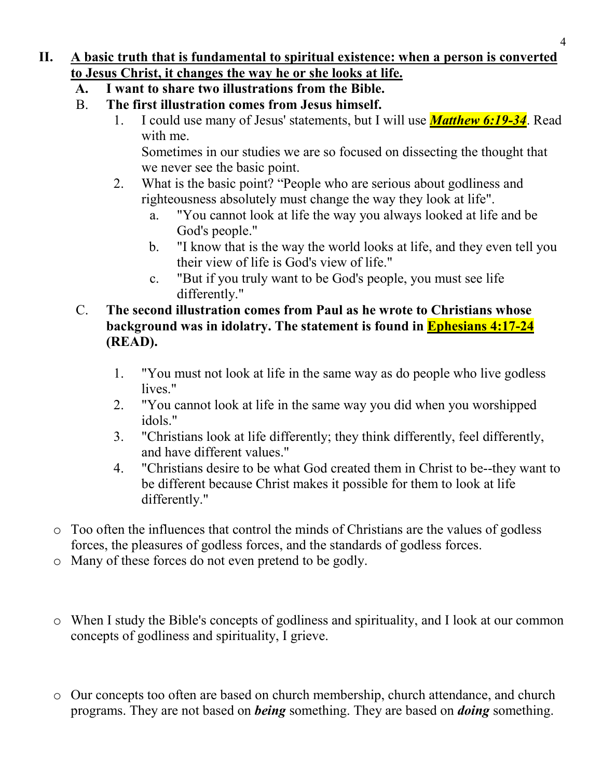## **II. A basic truth that is fundamental to spiritual existence: when a person is converted to Jesus Christ, it changes the way he or she looks at life.**

- **A. I want to share two illustrations from the Bible.**
- B. **The first illustration comes from Jesus himself.**
	- 1. I could use many of Jesus' statements, but I will use *Matthew 6:19-34*. Read with me.

Sometimes in our studies we are so focused on dissecting the thought that we never see the basic point.

- 2. What is the basic point? "People who are serious about godliness and righteousness absolutely must change the way they look at life".
	- a. "You cannot look at life the way you always looked at life and be God's people."
	- b. "I know that is the way the world looks at life, and they even tell you their view of life is God's view of life."
	- c. "But if you truly want to be God's people, you must see life differently."
- C. **The second illustration comes from Paul as he wrote to Christians whose background was in idolatry. The statement is found in Ephesians 4:17-24 (READ).**
	- 1. "You must not look at life in the same way as do people who live godless lives."
	- 2. "You cannot look at life in the same way you did when you worshipped idols."
	- 3. "Christians look at life differently; they think differently, feel differently, and have different values."
	- 4. "Christians desire to be what God created them in Christ to be--they want to be different because Christ makes it possible for them to look at life differently."
- o Too often the influences that control the minds of Christians are the values of godless forces, the pleasures of godless forces, and the standards of godless forces.
- o Many of these forces do not even pretend to be godly.
- o When I study the Bible's concepts of godliness and spirituality, and I look at our common concepts of godliness and spirituality, I grieve.
- o Our concepts too often are based on church membership, church attendance, and church programs. They are not based on *being* something. They are based on *doing* something.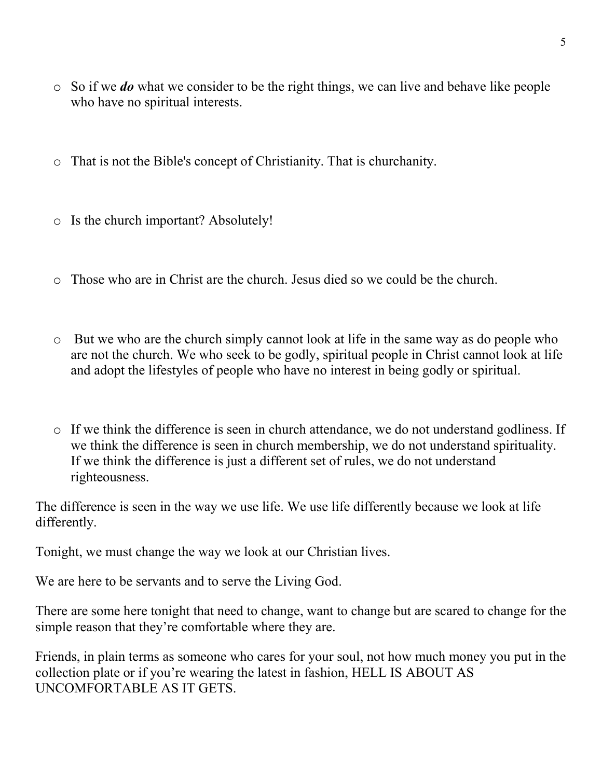- o So if we *do* what we consider to be the right things, we can live and behave like people who have no spiritual interests.
- o That is not the Bible's concept of Christianity. That is churchanity.
- o Is the church important? Absolutely!
- o Those who are in Christ are the church. Jesus died so we could be the church.
- o But we who are the church simply cannot look at life in the same way as do people who are not the church. We who seek to be godly, spiritual people in Christ cannot look at life and adopt the lifestyles of people who have no interest in being godly or spiritual.
- o If we think the difference is seen in church attendance, we do not understand godliness. If we think the difference is seen in church membership, we do not understand spirituality. If we think the difference is just a different set of rules, we do not understand righteousness.

The difference is seen in the way we use life. We use life differently because we look at life differently.

Tonight, we must change the way we look at our Christian lives.

We are here to be servants and to serve the Living God.

There are some here tonight that need to change, want to change but are scared to change for the simple reason that they're comfortable where they are.

Friends, in plain terms as someone who cares for your soul, not how much money you put in the collection plate or if you're wearing the latest in fashion, HELL IS ABOUT AS UNCOMFORTABLE AS IT GETS.